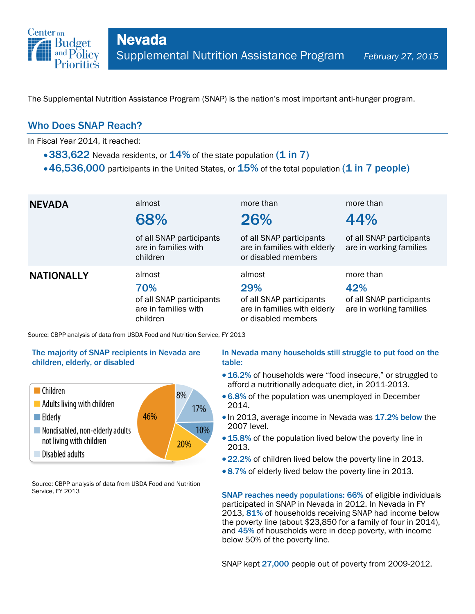

The Supplemental Nutrition Assistance Program (SNAP) is the nation's most important anti-hunger program.

## Who Does SNAP Reach?

In Fiscal Year 2014, it reached:

- 383,622 Nevada residents, or  $14\%$  of the state population (1 in 7)
- $\cdot$  46,536,000 participants in the United States, or  $15\%$  of the total population (1 in 7 people)

| <b>NEVADA</b>     | almost<br>68%                                                                 | more than<br>26%                                                                                 | more than<br>44%                                                        |
|-------------------|-------------------------------------------------------------------------------|--------------------------------------------------------------------------------------------------|-------------------------------------------------------------------------|
|                   | of all SNAP participants<br>are in families with<br>children                  | of all SNAP participants<br>are in families with elderly<br>or disabled members                  | of all SNAP participants<br>are in working families                     |
| <b>NATIONALLY</b> | almost<br>70%<br>of all SNAP participants<br>are in families with<br>children | almost<br>29%<br>of all SNAP participants<br>are in families with elderly<br>or disabled members | more than<br>42%<br>of all SNAP participants<br>are in working families |

Source: CBPP analysis of data from USDA Food and Nutrition Service, FY 2013

### The majority of SNAP recipients in Nevada are children, elderly, or disabled



Source: CBPP analysis of data from USDA Food and Nutrition Service, FY 2013

### In Nevada many households still struggle to put food on the table:

- 16.2% of households were "food insecure," or struggled to afford a nutritionally adequate diet, in 2011-2013.
- 6.8% of the population was unemployed in December 2014.
- In 2013, average income in Nevada was 17.2% below the 2007 level.
- 15.8% of the population lived below the poverty line in 2013.
- 22.2% of children lived below the poverty line in 2013.
- 8.7% of elderly lived below the poverty line in 2013.

SNAP reaches needy populations: 66% of eligible individuals participated in SNAP in Nevada in 2012. In Nevada in FY 2013, 81% of households receiving SNAP had income below the poverty line (about \$23,850 for a family of four in 2014), and 45% of households were in deep poverty, with income below 50% of the poverty line.

SNAP kept 27,000 people out of poverty from 2009-2012.